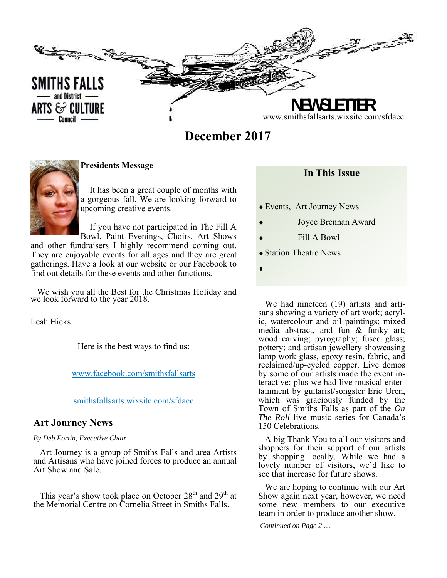

## **December 2017**



#### **Presidents Message**

 It has been a great couple of months with a gorgeous fall. We are looking forward to upcoming creative events.

 If you have not participated in The Fill A Bowl, Paint Evenings, Choirs, Art Shows

and other fundraisers I highly recommend coming out. They are enjoyable events for all ages and they are great gatherings. Have a look at our website or our Facebook to find out details for these events and other functions.

We wish you all the Best for the Christmas Holiday and we look forward to the year 2018.

Leah Hicks

Here is the best ways to find us:

www.facebook.com/smithsfallsarts

smithsfallsarts.wixsite.com/sfdacc

#### **Art Journey News**

*By Deb Fortin, Executive Chair* 

Art Journey is a group of Smiths Falls and area Artists and Artisans who have joined forces to produce an annual Art Show and Sale.

This year's show took place on October  $28<sup>th</sup>$  and  $29<sup>th</sup>$  at the Memorial Centre on Cornelia Street in Smiths Falls.

#### **In This Issue**

- Events, Art Journey News
	- Joyce Brennan Award
	- Fill A Bowl
- Station Theatre News
- 

 $\blacklozenge$ 

We had nineteen (19) artists and artisans showing a variety of art work; acrylic, watercolour and oil paintings; mixed media abstract, and fun & funky art; wood carving; pyrography; fused glass; pottery; and artisan jewellery showcasing lamp work glass, epoxy resin, fabric, and reclaimed/up-cycled copper. Live demos by some of our artists made the event interactive; plus we had live musical entertainment by guitarist/songster Eric Uren, which was graciously funded by the Town of Smiths Falls as part of the *On The Roll* live music series for Canada's 150 Celebrations.

A big Thank You to all our visitors and shoppers for their support of our artists by shopping locally. While we had a lovely number of visitors, we'd like to see that increase for future shows.

We are hoping to continue with our Art Show again next year, however, we need some new members to our executive team in order to produce another show.

 *Continued on Page 2 ….*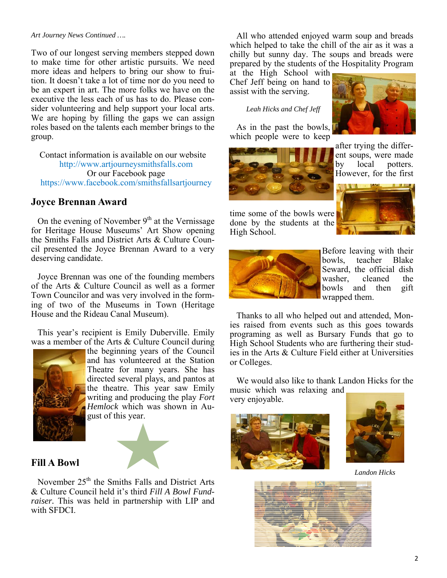#### *Art Journey News Continued ….*

Two of our longest serving members stepped down to make time for other artistic pursuits. We need more ideas and helpers to bring our show to fruition. It doesn't take a lot of time nor do you need to be an expert in art. The more folks we have on the executive the less each of us has to do. Please consider volunteering and help support your local arts. We are hoping by filling the gaps we can assign roles based on the talents each member brings to the group.

Contact information is available on our website http://www.artjourneysmithsfalls.com Or our Facebook page https://www.facebook.com/smithsfallsartjourney

#### **Joyce Brennan Award**

On the evening of November  $9<sup>th</sup>$  at the Vernissage for Heritage House Museums' Art Show opening the Smiths Falls and District Arts & Culture Council presented the Joyce Brennan Award to a very deserving candidate.

Joyce Brennan was one of the founding members of the Arts & Culture Council as well as a former Town Councilor and was very involved in the forming of two of the Museums in Town (Heritage House and the Rideau Canal Museum).

This year's recipient is Emily Duberville. Emily was a member of the Arts & Culture Council during



the beginning years of the Council and has volunteered at the Station Theatre for many years. She has directed several plays, and pantos at the theatre. This year saw Emily writing and producing the play *Fort Hemlock* which was shown in August of this year.

#### **Fill A Bowl**

November  $25<sup>th</sup>$  the Smiths Falls and District Arts & Culture Council held it's third *Fill A Bowl Fundraiser.* This was held in partnership with LIP and with SFDCI.

All who attended enjoyed warm soup and breads which helped to take the chill of the air as it was a chilly but sunny day. The soups and breads were prepared by the students of the Hospitality Program

at the High School with Chef Jeff being on hand to assist with the serving.

 *Leah Hicks and Chef Jeff* 

As in the past the bowls, which people were to keep





after trying the different soups, were made by local potters. However, for the first

time some of the bowls were done by the students at the High School.



Before leaving with their bowls, teacher Blake Seward, the official dish washer, cleaned the bowls and then gift wrapped them.

Thanks to all who helped out and attended, Monies raised from events such as this goes towards programing as well as Bursary Funds that go to High School Students who are furthering their studies in the Arts  $&$  Culture Field either at Universities or Colleges.

We would also like to thank Landon Hicks for the music which was relaxing and very enjoyable.





 *Landon Hicks* 

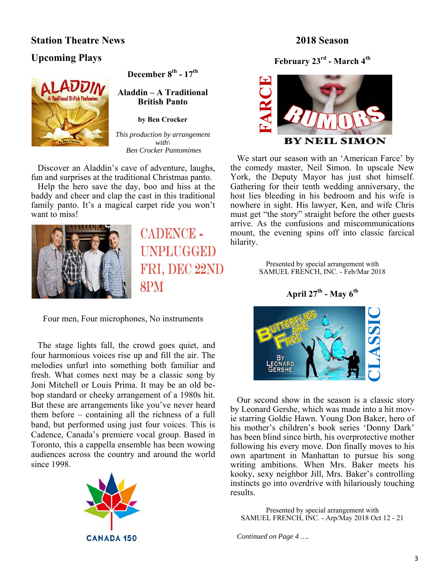## **Station Theatre News**

#### **2018 Season**

## **Upcoming Plays**



**December 8th - 17th** 

**Aladdin – A Traditional British Panto** 

**by Ben Crocker** 

*This production by arrangement with\ Ben Crocker Pantomimes* 

Discover an Aladdin's cave of adventure, laughs, fun and surprises at the traditional Christmas panto.

Help the hero save the day, boo and hiss at the baddy and cheer and clap the cast in this traditional family panto. It's a magical carpet ride you won't want to miss!



CADENCE-**UNPLUGGED** FRI, DEC 22ND 8PM

Four men, Four microphones, No instruments

The stage lights fall, the crowd goes quiet, and four harmonious voices rise up and fill the air. The melodies unfurl into something both familiar and fresh. What comes next may be a classic song by Joni Mitchell or Louis Prima. It may be an old bebop standard or cheeky arrangement of a 1980s hit. But these are arrangements like you've never heard them before – containing all the richness of a full band, but performed using just four voices. This is Cadence, Canada's premiere vocal group. Based in Toronto, this a cappella ensemble has been wowing audiences across the country and around the world since 1998.



#### **February 23rd - March 4th**



We start our season with an 'American Farce' by the comedy master, Neil Simon. In upscale New York, the Deputy Mayor has just shot himself. Gathering for their tenth wedding anniversary, the host lies bleeding in his bedroom and his wife is nowhere in sight. His lawyer, Ken, and wife Chris must get "the story" straight before the other guests arrive. As the confusions and miscommunications mount, the evening spins off into classic farcical hilarity.

> Presented by special arrangement with SAMUEL FRENCH, INC. - Feb/Mar 2018

> > **April 27th - May 6th**



Our second show in the season is a classic story by Leonard Gershe, which was made into a hit movie starring Goldie Hawn. Young Don Baker, hero of his mother's children's book series 'Donny Dark' has been blind since birth, his overprotective mother following his every move. Don finally moves to his own apartment in Manhattan to pursue his song writing ambitions. When Mrs. Baker meets his kooky, sexy neighbor Jill, Mrs. Baker's controlling instincts go into overdrive with hilariously touching results. **Continued on Page 4 ...**<br>
FARCE **EXECUTE CONTENDINGLET SAMUEL FRENCH, DEPARTMENT AND THE SAMUEL FRENCH APPIL CONTEND APPIL CONTEND APPIL CONTEND APPIL CONTEND APPIL CONTEND APPIL CONTEND APPIL CONTEND APPIL CONTEND APPIL** 

Presented by special arrangement with SAMUEL FRENCH, INC. - Arp/May 2018 Oct 12 - 21

Continued on Page 4 ....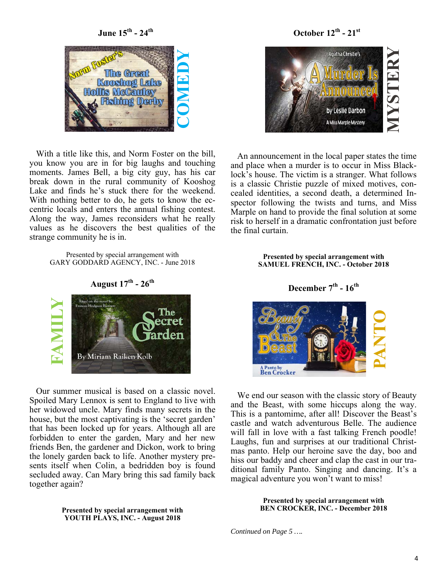**June 15th - 24th** 



With a title like this, and Norm Foster on the bill, you know you are in for big laughs and touching moments. James Bell, a big city guy, has his car break down in the rural community of Kooshog Lake and finds he's stuck there for the weekend. With nothing better to do, he gets to know the eccentric locals and enters the annual fishing contest. Along the way, James reconsiders what he really values as he discovers the best qualities of the strange community he is in.

> Presented by special arrangement with GARY GODDARD AGENCY, INC. - June 2018



Our summer musical is based on a classic novel. Spoiled Mary Lennox is sent to England to live with her widowed uncle. Mary finds many secrets in the house, but the most captivating is the 'secret garden' that has been locked up for years. Although all are forbidden to enter the garden, Mary and her new friends Ben, the gardener and Dickon, work to bring the lonely garden back to life. Another mystery presents itself when Colin, a bedridden boy is found secluded away. Can Mary bring this sad family back together again?

> **Presented by special arrangement with YOUTH PLAYS, INC. - August 2018**

**October 12th - 21st**



An announcement in the local paper states the time and place when a murder is to occur in Miss Blacklock's house. The victim is a stranger. What follows is a classic Christie puzzle of mixed motives, concealed identities, a second death, a determined Inspector following the twists and turns, and Miss Marple on hand to provide the final solution at some risk to herself in a dramatic confrontation just before the final curtain.

> **Presented by special arrangement with SAMUEL FRENCH, INC. - October 2018**





We end our season with the classic story of Beauty and the Beast, with some hiccups along the way. This is a pantomime, after all! Discover the Beast's castle and watch adventurous Belle. The audience will fall in love with a fast talking French poodle! Laughs, fun and surprises at our traditional Christmas panto. Help our heroine save the day, boo and hiss our baddy and cheer and clap the cast in our traditional family Panto. Singing and dancing. It's a magical adventure you won't want to miss!

> **Presented by special arrangement with BEN CROCKER, INC. - December 2018**